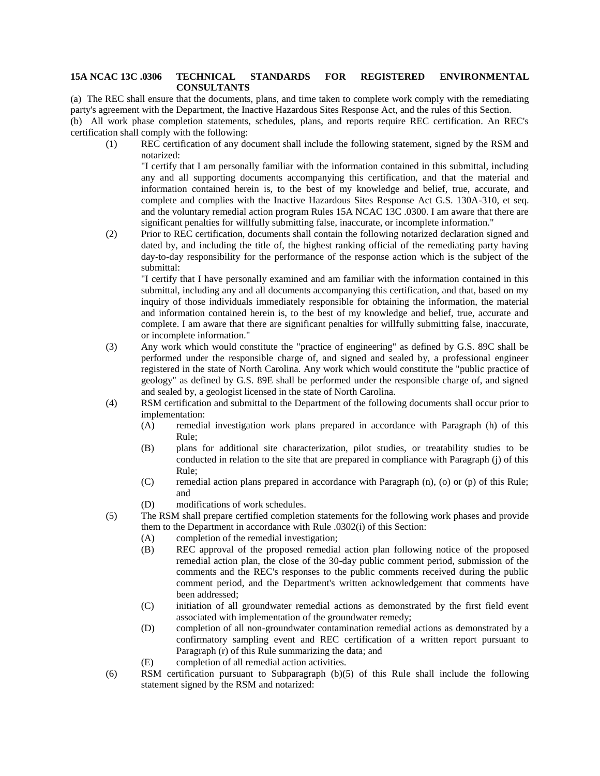## **15A NCAC 13C .0306 TECHNICAL STANDARDS FOR REGISTERED ENVIRONMENTAL CONSULTANTS**

(a) The REC shall ensure that the documents, plans, and time taken to complete work comply with the remediating party's agreement with the Department, the Inactive Hazardous Sites Response Act, and the rules of this Section. (b) All work phase completion statements, schedules, plans, and reports require REC certification. An REC's certification shall comply with the following:

(1) REC certification of any document shall include the following statement, signed by the RSM and notarized:

"I certify that I am personally familiar with the information contained in this submittal, including any and all supporting documents accompanying this certification, and that the material and information contained herein is, to the best of my knowledge and belief, true, accurate, and complete and complies with the Inactive Hazardous Sites Response Act G.S. 130A-310, et seq. and the voluntary remedial action program Rules 15A NCAC 13C .0300. I am aware that there are significant penalties for willfully submitting false, inaccurate, or incomplete information."

(2) Prior to REC certification, documents shall contain the following notarized declaration signed and dated by, and including the title of, the highest ranking official of the remediating party having day-to-day responsibility for the performance of the response action which is the subject of the submittal:

"I certify that I have personally examined and am familiar with the information contained in this submittal, including any and all documents accompanying this certification, and that, based on my inquiry of those individuals immediately responsible for obtaining the information, the material and information contained herein is, to the best of my knowledge and belief, true, accurate and complete. I am aware that there are significant penalties for willfully submitting false, inaccurate, or incomplete information."

- (3) Any work which would constitute the "practice of engineering" as defined by G.S. 89C shall be performed under the responsible charge of, and signed and sealed by, a professional engineer registered in the state of North Carolina. Any work which would constitute the "public practice of geology" as defined by G.S. 89E shall be performed under the responsible charge of, and signed and sealed by, a geologist licensed in the state of North Carolina.
- (4) RSM certification and submittal to the Department of the following documents shall occur prior to implementation:
	- (A) remedial investigation work plans prepared in accordance with Paragraph (h) of this Rule;
	- (B) plans for additional site characterization, pilot studies, or treatability studies to be conducted in relation to the site that are prepared in compliance with Paragraph (j) of this Rule;
	- (C) remedial action plans prepared in accordance with Paragraph (n), (o) or (p) of this Rule; and
	- (D) modifications of work schedules.
- (5) The RSM shall prepare certified completion statements for the following work phases and provide them to the Department in accordance with Rule .0302(i) of this Section:
	- (A) completion of the remedial investigation;
	- (B) REC approval of the proposed remedial action plan following notice of the proposed remedial action plan, the close of the 30-day public comment period, submission of the comments and the REC's responses to the public comments received during the public comment period, and the Department's written acknowledgement that comments have been addressed;
	- (C) initiation of all groundwater remedial actions as demonstrated by the first field event associated with implementation of the groundwater remedy;
	- (D) completion of all non-groundwater contamination remedial actions as demonstrated by a confirmatory sampling event and REC certification of a written report pursuant to Paragraph (r) of this Rule summarizing the data; and
	- (E) completion of all remedial action activities.
- (6) RSM certification pursuant to Subparagraph (b)(5) of this Rule shall include the following statement signed by the RSM and notarized: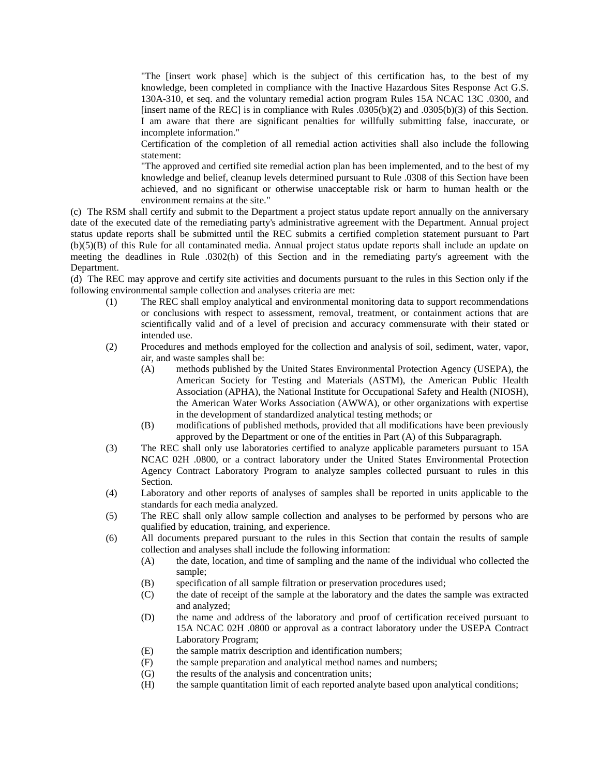"The [insert work phase] which is the subject of this certification has, to the best of my knowledge, been completed in compliance with the Inactive Hazardous Sites Response Act G.S. 130A-310, et seq. and the voluntary remedial action program Rules 15A NCAC 13C .0300, and [insert name of the REC] is in compliance with Rules .0305(b)(2) and .0305(b)(3) of this Section. I am aware that there are significant penalties for willfully submitting false, inaccurate, or incomplete information."

Certification of the completion of all remedial action activities shall also include the following statement:

"The approved and certified site remedial action plan has been implemented, and to the best of my knowledge and belief, cleanup levels determined pursuant to Rule .0308 of this Section have been achieved, and no significant or otherwise unacceptable risk or harm to human health or the environment remains at the site."

(c) The RSM shall certify and submit to the Department a project status update report annually on the anniversary date of the executed date of the remediating party's administrative agreement with the Department. Annual project status update reports shall be submitted until the REC submits a certified completion statement pursuant to Part (b)(5)(B) of this Rule for all contaminated media. Annual project status update reports shall include an update on meeting the deadlines in Rule .0302(h) of this Section and in the remediating party's agreement with the Department.

(d) The REC may approve and certify site activities and documents pursuant to the rules in this Section only if the following environmental sample collection and analyses criteria are met:

- (1) The REC shall employ analytical and environmental monitoring data to support recommendations or conclusions with respect to assessment, removal, treatment, or containment actions that are scientifically valid and of a level of precision and accuracy commensurate with their stated or intended use.
- (2) Procedures and methods employed for the collection and analysis of soil, sediment, water, vapor, air, and waste samples shall be:
	- (A) methods published by the United States Environmental Protection Agency (USEPA), the American Society for Testing and Materials (ASTM), the American Public Health Association (APHA), the National Institute for Occupational Safety and Health (NIOSH), the American Water Works Association (AWWA), or other organizations with expertise in the development of standardized analytical testing methods; or
	- (B) modifications of published methods, provided that all modifications have been previously approved by the Department or one of the entities in Part (A) of this Subparagraph.
- (3) The REC shall only use laboratories certified to analyze applicable parameters pursuant to 15A NCAC 02H .0800, or a contract laboratory under the United States Environmental Protection Agency Contract Laboratory Program to analyze samples collected pursuant to rules in this Section.
- (4) Laboratory and other reports of analyses of samples shall be reported in units applicable to the standards for each media analyzed.
- (5) The REC shall only allow sample collection and analyses to be performed by persons who are qualified by education, training, and experience.
- (6) All documents prepared pursuant to the rules in this Section that contain the results of sample collection and analyses shall include the following information:
	- (A) the date, location, and time of sampling and the name of the individual who collected the sample;
	- (B) specification of all sample filtration or preservation procedures used;
	- (C) the date of receipt of the sample at the laboratory and the dates the sample was extracted and analyzed;
	- (D) the name and address of the laboratory and proof of certification received pursuant to 15A NCAC 02H .0800 or approval as a contract laboratory under the USEPA Contract Laboratory Program;
	- (E) the sample matrix description and identification numbers;
	- (F) the sample preparation and analytical method names and numbers;
	- (G) the results of the analysis and concentration units;
	- (H) the sample quantitation limit of each reported analyte based upon analytical conditions;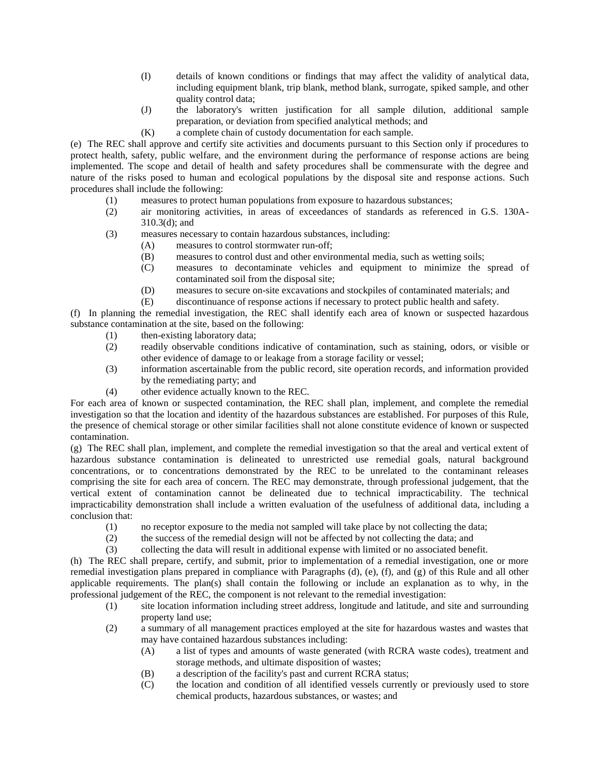- (I) details of known conditions or findings that may affect the validity of analytical data, including equipment blank, trip blank, method blank, surrogate, spiked sample, and other quality control data;
- (J) the laboratory's written justification for all sample dilution, additional sample preparation, or deviation from specified analytical methods; and
- (K) a complete chain of custody documentation for each sample.

(e) The REC shall approve and certify site activities and documents pursuant to this Section only if procedures to protect health, safety, public welfare, and the environment during the performance of response actions are being implemented. The scope and detail of health and safety procedures shall be commensurate with the degree and nature of the risks posed to human and ecological populations by the disposal site and response actions. Such procedures shall include the following:

- (1) measures to protect human populations from exposure to hazardous substances;
- (2) air monitoring activities, in areas of exceedances of standards as referenced in G.S. 130A-310.3(d); and
- (3) measures necessary to contain hazardous substances, including:
	- (A) measures to control stormwater run-off;
	- (B) measures to control dust and other environmental media, such as wetting soils;
	- (C) measures to decontaminate vehicles and equipment to minimize the spread of contaminated soil from the disposal site;
	- (D) measures to secure on-site excavations and stockpiles of contaminated materials; and
	- (E) discontinuance of response actions if necessary to protect public health and safety.

(f) In planning the remedial investigation, the REC shall identify each area of known or suspected hazardous substance contamination at the site, based on the following:

- (1) then-existing laboratory data;
- (2) readily observable conditions indicative of contamination, such as staining, odors, or visible or other evidence of damage to or leakage from a storage facility or vessel;
- (3) information ascertainable from the public record, site operation records, and information provided by the remediating party; and
- (4) other evidence actually known to the REC.

For each area of known or suspected contamination, the REC shall plan, implement, and complete the remedial investigation so that the location and identity of the hazardous substances are established. For purposes of this Rule, the presence of chemical storage or other similar facilities shall not alone constitute evidence of known or suspected contamination.

(g) The REC shall plan, implement, and complete the remedial investigation so that the areal and vertical extent of hazardous substance contamination is delineated to unrestricted use remedial goals, natural background concentrations, or to concentrations demonstrated by the REC to be unrelated to the contaminant releases comprising the site for each area of concern. The REC may demonstrate, through professional judgement, that the vertical extent of contamination cannot be delineated due to technical impracticability. The technical impracticability demonstration shall include a written evaluation of the usefulness of additional data, including a conclusion that:

- (1) no receptor exposure to the media not sampled will take place by not collecting the data;
- (2) the success of the remedial design will not be affected by not collecting the data; and
- (3) collecting the data will result in additional expense with limited or no associated benefit.

(h) The REC shall prepare, certify, and submit, prior to implementation of a remedial investigation, one or more remedial investigation plans prepared in compliance with Paragraphs (d), (e), (f), and (g) of this Rule and all other applicable requirements. The plan(s) shall contain the following or include an explanation as to why, in the professional judgement of the REC, the component is not relevant to the remedial investigation:

- (1) site location information including street address, longitude and latitude, and site and surrounding property land use;
- (2) a summary of all management practices employed at the site for hazardous wastes and wastes that may have contained hazardous substances including:
	- (A) a list of types and amounts of waste generated (with RCRA waste codes), treatment and storage methods, and ultimate disposition of wastes;
	- (B) a description of the facility's past and current RCRA status;
	- (C) the location and condition of all identified vessels currently or previously used to store chemical products, hazardous substances, or wastes; and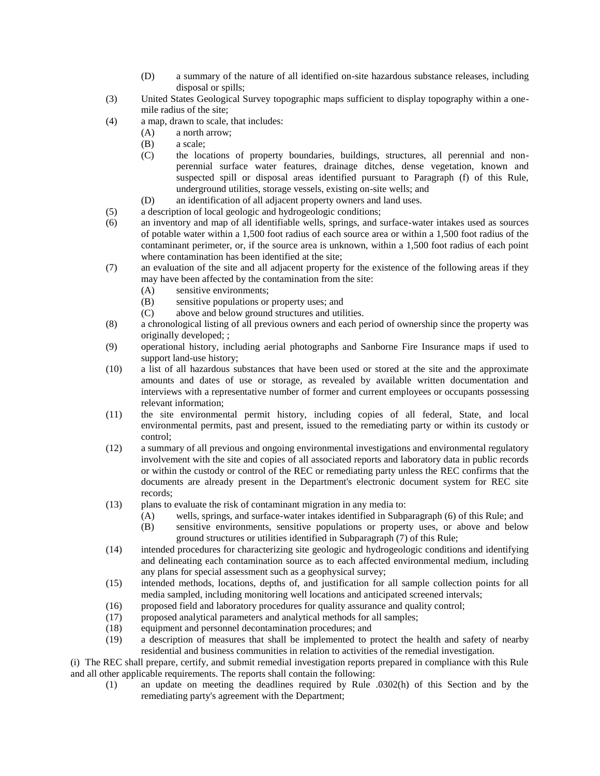- (D) a summary of the nature of all identified on-site hazardous substance releases, including disposal or spills;
- (3) United States Geological Survey topographic maps sufficient to display topography within a onemile radius of the site;
- (4) a map, drawn to scale, that includes:
	- (A) a north arrow;
	- (B) a scale;
	- (C) the locations of property boundaries, buildings, structures, all perennial and nonperennial surface water features, drainage ditches, dense vegetation, known and suspected spill or disposal areas identified pursuant to Paragraph (f) of this Rule, underground utilities, storage vessels, existing on-site wells; and
	- (D) an identification of all adjacent property owners and land uses.
- (5) a description of local geologic and hydrogeologic conditions;
- (6) an inventory and map of all identifiable wells, springs, and surface-water intakes used as sources of potable water within a 1,500 foot radius of each source area or within a 1,500 foot radius of the contaminant perimeter, or, if the source area is unknown, within a 1,500 foot radius of each point where contamination has been identified at the site;
- (7) an evaluation of the site and all adjacent property for the existence of the following areas if they may have been affected by the contamination from the site:
	- (A) sensitive environments;
	- (B) sensitive populations or property uses; and
	- (C) above and below ground structures and utilities.
- (8) a chronological listing of all previous owners and each period of ownership since the property was originally developed; ;
- (9) operational history, including aerial photographs and Sanborne Fire Insurance maps if used to support land-use history;
- (10) a list of all hazardous substances that have been used or stored at the site and the approximate amounts and dates of use or storage, as revealed by available written documentation and interviews with a representative number of former and current employees or occupants possessing relevant information;
- (11) the site environmental permit history, including copies of all federal, State, and local environmental permits, past and present, issued to the remediating party or within its custody or control;
- (12) a summary of all previous and ongoing environmental investigations and environmental regulatory involvement with the site and copies of all associated reports and laboratory data in public records or within the custody or control of the REC or remediating party unless the REC confirms that the documents are already present in the Department's electronic document system for REC site records;
- (13) plans to evaluate the risk of contaminant migration in any media to:
	- (A) wells, springs, and surface-water intakes identified in Subparagraph (6) of this Rule; and
	- (B) sensitive environments, sensitive populations or property uses, or above and below ground structures or utilities identified in Subparagraph (7) of this Rule;
- (14) intended procedures for characterizing site geologic and hydrogeologic conditions and identifying and delineating each contamination source as to each affected environmental medium, including any plans for special assessment such as a geophysical survey;
- (15) intended methods, locations, depths of, and justification for all sample collection points for all media sampled, including monitoring well locations and anticipated screened intervals;
- (16) proposed field and laboratory procedures for quality assurance and quality control;
- (17) proposed analytical parameters and analytical methods for all samples;
- (18) equipment and personnel decontamination procedures; and
- (19) a description of measures that shall be implemented to protect the health and safety of nearby residential and business communities in relation to activities of the remedial investigation.

(i) The REC shall prepare, certify, and submit remedial investigation reports prepared in compliance with this Rule and all other applicable requirements. The reports shall contain the following:

(1) an update on meeting the deadlines required by Rule .0302(h) of this Section and by the remediating party's agreement with the Department;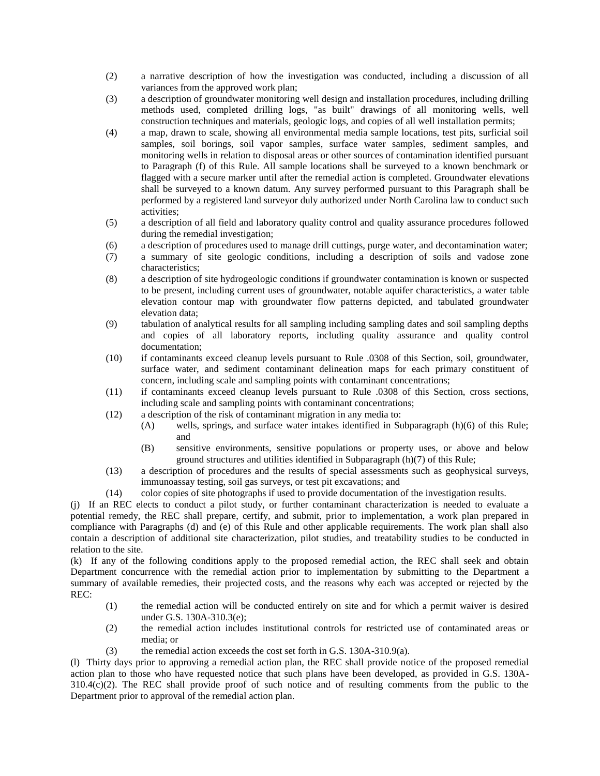- (2) a narrative description of how the investigation was conducted, including a discussion of all variances from the approved work plan;
- (3) a description of groundwater monitoring well design and installation procedures, including drilling methods used, completed drilling logs, "as built" drawings of all monitoring wells, well construction techniques and materials, geologic logs, and copies of all well installation permits;
- (4) a map, drawn to scale, showing all environmental media sample locations, test pits, surficial soil samples, soil borings, soil vapor samples, surface water samples, sediment samples, and monitoring wells in relation to disposal areas or other sources of contamination identified pursuant to Paragraph (f) of this Rule. All sample locations shall be surveyed to a known benchmark or flagged with a secure marker until after the remedial action is completed. Groundwater elevations shall be surveyed to a known datum. Any survey performed pursuant to this Paragraph shall be performed by a registered land surveyor duly authorized under North Carolina law to conduct such activities;
- (5) a description of all field and laboratory quality control and quality assurance procedures followed during the remedial investigation;
- (6) a description of procedures used to manage drill cuttings, purge water, and decontamination water;
- (7) a summary of site geologic conditions, including a description of soils and vadose zone characteristics;
- (8) a description of site hydrogeologic conditions if groundwater contamination is known or suspected to be present, including current uses of groundwater, notable aquifer characteristics, a water table elevation contour map with groundwater flow patterns depicted, and tabulated groundwater elevation data;
- (9) tabulation of analytical results for all sampling including sampling dates and soil sampling depths and copies of all laboratory reports, including quality assurance and quality control documentation;
- (10) if contaminants exceed cleanup levels pursuant to Rule .0308 of this Section, soil, groundwater, surface water, and sediment contaminant delineation maps for each primary constituent of concern, including scale and sampling points with contaminant concentrations;
- (11) if contaminants exceed cleanup levels pursuant to Rule .0308 of this Section, cross sections, including scale and sampling points with contaminant concentrations;
- (12) a description of the risk of contaminant migration in any media to:
	- (A) wells, springs, and surface water intakes identified in Subparagraph (h)(6) of this Rule; and
	- (B) sensitive environments, sensitive populations or property uses, or above and below ground structures and utilities identified in Subparagraph (h)(7) of this Rule;
- (13) a description of procedures and the results of special assessments such as geophysical surveys, immunoassay testing, soil gas surveys, or test pit excavations; and
- (14) color copies of site photographs if used to provide documentation of the investigation results.

(j) If an REC elects to conduct a pilot study, or further contaminant characterization is needed to evaluate a potential remedy, the REC shall prepare, certify, and submit, prior to implementation, a work plan prepared in compliance with Paragraphs (d) and (e) of this Rule and other applicable requirements. The work plan shall also contain a description of additional site characterization, pilot studies, and treatability studies to be conducted in relation to the site.

(k) If any of the following conditions apply to the proposed remedial action, the REC shall seek and obtain Department concurrence with the remedial action prior to implementation by submitting to the Department a summary of available remedies, their projected costs, and the reasons why each was accepted or rejected by the REC:

- (1) the remedial action will be conducted entirely on site and for which a permit waiver is desired under G.S. 130A-310.3(e);
- (2) the remedial action includes institutional controls for restricted use of contaminated areas or media; or
- (3) the remedial action exceeds the cost set forth in G.S. 130A-310.9(a).

(l) Thirty days prior to approving a remedial action plan, the REC shall provide notice of the proposed remedial action plan to those who have requested notice that such plans have been developed, as provided in G.S. 130A-310.4(c)(2). The REC shall provide proof of such notice and of resulting comments from the public to the Department prior to approval of the remedial action plan.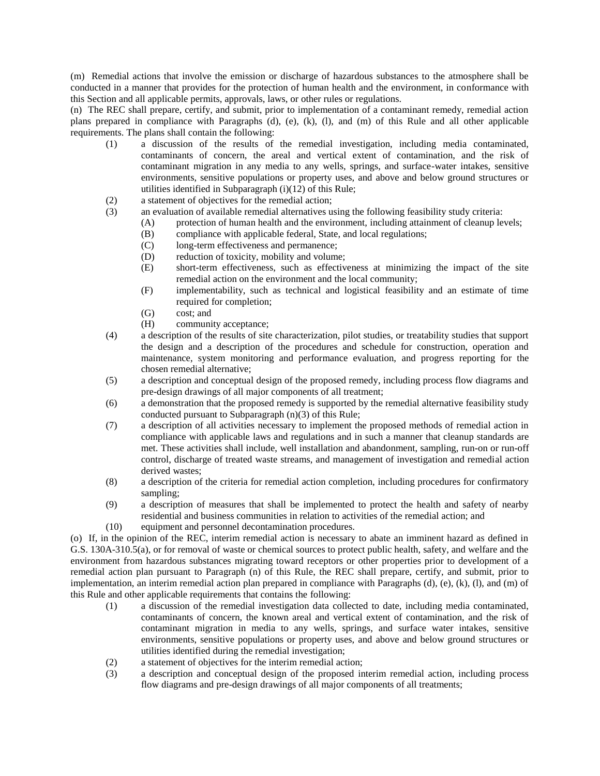(m) Remedial actions that involve the emission or discharge of hazardous substances to the atmosphere shall be conducted in a manner that provides for the protection of human health and the environment, in conformance with this Section and all applicable permits, approvals, laws, or other rules or regulations.

(n) The REC shall prepare, certify, and submit, prior to implementation of a contaminant remedy, remedial action plans prepared in compliance with Paragraphs (d), (e), (k), (l), and (m) of this Rule and all other applicable requirements. The plans shall contain the following:

- (1) a discussion of the results of the remedial investigation, including media contaminated, contaminants of concern, the areal and vertical extent of contamination, and the risk of contaminant migration in any media to any wells, springs, and surface-water intakes, sensitive environments, sensitive populations or property uses, and above and below ground structures or utilities identified in Subparagraph  $(i)(12)$  of this Rule;
- (2) a statement of objectives for the remedial action;
- (3) an evaluation of available remedial alternatives using the following feasibility study criteria:
	- (A) protection of human health and the environment, including attainment of cleanup levels;
	- (B) compliance with applicable federal, State, and local regulations;
	- (C) long-term effectiveness and permanence;
	- (D) reduction of toxicity, mobility and volume;
	- (E) short-term effectiveness, such as effectiveness at minimizing the impact of the site remedial action on the environment and the local community;
	- (F) implementability, such as technical and logistical feasibility and an estimate of time required for completion;
	- (G) cost; and
	- (H) community acceptance;
- (4) a description of the results of site characterization, pilot studies, or treatability studies that support the design and a description of the procedures and schedule for construction, operation and maintenance, system monitoring and performance evaluation, and progress reporting for the chosen remedial alternative;
- (5) a description and conceptual design of the proposed remedy, including process flow diagrams and pre-design drawings of all major components of all treatment;
- (6) a demonstration that the proposed remedy is supported by the remedial alternative feasibility study conducted pursuant to Subparagraph (n)(3) of this Rule;
- (7) a description of all activities necessary to implement the proposed methods of remedial action in compliance with applicable laws and regulations and in such a manner that cleanup standards are met. These activities shall include, well installation and abandonment, sampling, run-on or run-off control, discharge of treated waste streams, and management of investigation and remedial action derived wastes;
- (8) a description of the criteria for remedial action completion, including procedures for confirmatory sampling;
- (9) a description of measures that shall be implemented to protect the health and safety of nearby residential and business communities in relation to activities of the remedial action; and
- (10) equipment and personnel decontamination procedures.

(o) If, in the opinion of the REC, interim remedial action is necessary to abate an imminent hazard as defined in G.S. 130A-310.5(a), or for removal of waste or chemical sources to protect public health, safety, and welfare and the environment from hazardous substances migrating toward receptors or other properties prior to development of a remedial action plan pursuant to Paragraph (n) of this Rule, the REC shall prepare, certify, and submit, prior to implementation, an interim remedial action plan prepared in compliance with Paragraphs  $(d)$ ,  $(e)$ ,  $(k)$ ,  $(l)$ , and  $(m)$  of this Rule and other applicable requirements that contains the following:

- (1) a discussion of the remedial investigation data collected to date, including media contaminated, contaminants of concern, the known areal and vertical extent of contamination, and the risk of contaminant migration in media to any wells, springs, and surface water intakes, sensitive environments, sensitive populations or property uses, and above and below ground structures or utilities identified during the remedial investigation;
- (2) a statement of objectives for the interim remedial action;
- (3) a description and conceptual design of the proposed interim remedial action, including process flow diagrams and pre-design drawings of all major components of all treatments;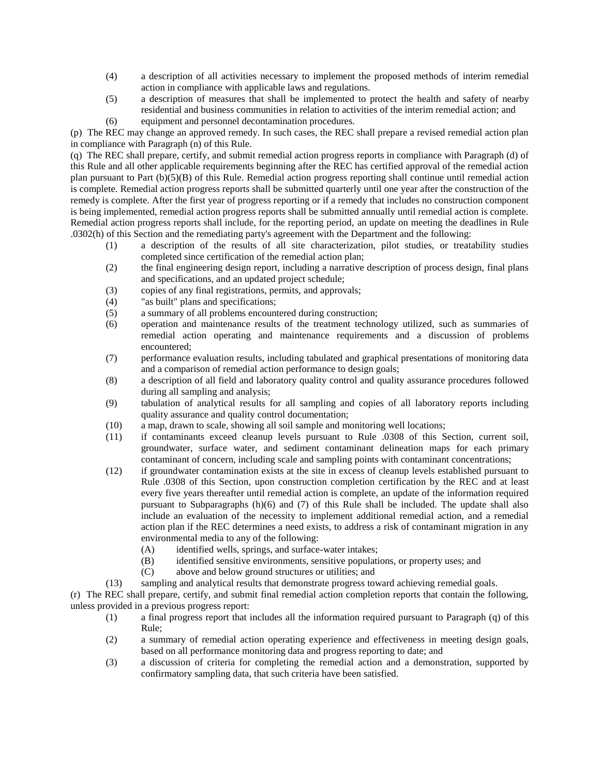- (4) a description of all activities necessary to implement the proposed methods of interim remedial action in compliance with applicable laws and regulations.
- (5) a description of measures that shall be implemented to protect the health and safety of nearby residential and business communities in relation to activities of the interim remedial action; and
- (6) equipment and personnel decontamination procedures.

(p) The REC may change an approved remedy. In such cases, the REC shall prepare a revised remedial action plan in compliance with Paragraph (n) of this Rule.

(q) The REC shall prepare, certify, and submit remedial action progress reports in compliance with Paragraph (d) of this Rule and all other applicable requirements beginning after the REC has certified approval of the remedial action plan pursuant to Part (b)(5)(B) of this Rule. Remedial action progress reporting shall continue until remedial action is complete. Remedial action progress reports shall be submitted quarterly until one year after the construction of the remedy is complete. After the first year of progress reporting or if a remedy that includes no construction component is being implemented, remedial action progress reports shall be submitted annually until remedial action is complete. Remedial action progress reports shall include, for the reporting period, an update on meeting the deadlines in Rule .0302(h) of this Section and the remediating party's agreement with the Department and the following:

- (1) a description of the results of all site characterization, pilot studies, or treatability studies completed since certification of the remedial action plan;
- (2) the final engineering design report, including a narrative description of process design, final plans and specifications, and an updated project schedule;
- (3) copies of any final registrations, permits, and approvals;
- (4) "as built" plans and specifications;
- (5) a summary of all problems encountered during construction;
- (6) operation and maintenance results of the treatment technology utilized, such as summaries of remedial action operating and maintenance requirements and a discussion of problems encountered;
- (7) performance evaluation results, including tabulated and graphical presentations of monitoring data and a comparison of remedial action performance to design goals;
- (8) a description of all field and laboratory quality control and quality assurance procedures followed during all sampling and analysis;
- (9) tabulation of analytical results for all sampling and copies of all laboratory reports including quality assurance and quality control documentation;
- (10) a map, drawn to scale, showing all soil sample and monitoring well locations;
- (11) if contaminants exceed cleanup levels pursuant to Rule .0308 of this Section, current soil, groundwater, surface water, and sediment contaminant delineation maps for each primary contaminant of concern, including scale and sampling points with contaminant concentrations;
- (12) if groundwater contamination exists at the site in excess of cleanup levels established pursuant to Rule .0308 of this Section, upon construction completion certification by the REC and at least every five years thereafter until remedial action is complete, an update of the information required pursuant to Subparagraphs (h)(6) and (7) of this Rule shall be included. The update shall also include an evaluation of the necessity to implement additional remedial action, and a remedial action plan if the REC determines a need exists, to address a risk of contaminant migration in any environmental media to any of the following:
	- (A) identified wells, springs, and surface-water intakes;
	- (B) identified sensitive environments, sensitive populations, or property uses; and
	- (C) above and below ground structures or utilities; and
- (13) sampling and analytical results that demonstrate progress toward achieving remedial goals.

(r) The REC shall prepare, certify, and submit final remedial action completion reports that contain the following, unless provided in a previous progress report:

- (1) a final progress report that includes all the information required pursuant to Paragraph (q) of this Rule;
- (2) a summary of remedial action operating experience and effectiveness in meeting design goals, based on all performance monitoring data and progress reporting to date; and
- (3) a discussion of criteria for completing the remedial action and a demonstration, supported by confirmatory sampling data, that such criteria have been satisfied.